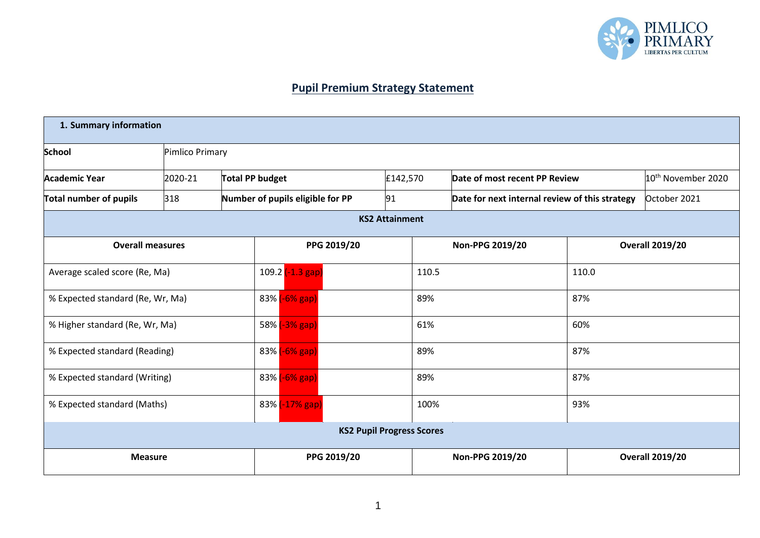

## **Pupil Premium Strategy Statement**

| 1. Summary information        |                                  |                 |               |                                  |                                  |          |                 |                                                |                        |                                |
|-------------------------------|----------------------------------|-----------------|---------------|----------------------------------|----------------------------------|----------|-----------------|------------------------------------------------|------------------------|--------------------------------|
| <b>School</b>                 |                                  | Pimlico Primary |               |                                  |                                  |          |                 |                                                |                        |                                |
| <b>Academic Year</b>          | 2020-21                          | Total PP budget |               |                                  |                                  | £142,570 |                 | Date of most recent PP Review                  |                        | 10 <sup>th</sup> November 2020 |
| <b>Total number of pupils</b> | 318                              |                 |               | Number of pupils eligible for PP |                                  | 91       |                 | Date for next internal review of this strategy |                        | October 2021                   |
|                               | <b>KS2 Attainment</b>            |                 |               |                                  |                                  |          |                 |                                                |                        |                                |
| <b>Overall measures</b>       |                                  |                 |               |                                  | PPG 2019/20                      |          |                 | Non-PPG 2019/20                                | <b>Overall 2019/20</b> |                                |
| Average scaled score (Re, Ma) |                                  |                 |               | 109.2 (-1.3 gap)                 |                                  | 110.5    |                 | 110.0                                          |                        |                                |
|                               | % Expected standard (Re, Wr, Ma) |                 |               | 83% (-6% gap)                    |                                  |          | 89%             |                                                | 87%                    |                                |
|                               | % Higher standard (Re, Wr, Ma)   |                 | 58% (-3% gap) |                                  |                                  | 61%      |                 | 60%                                            |                        |                                |
| % Expected standard (Reading) |                                  |                 | 83% (-6% gap) |                                  |                                  | 89%      |                 | 87%                                            |                        |                                |
| % Expected standard (Writing) |                                  |                 | 83% (-6% gap) |                                  |                                  | 89%      |                 | 87%                                            |                        |                                |
| % Expected standard (Maths)   |                                  |                 |               | 83% (-17% gap)                   |                                  | 100%     |                 | 93%                                            |                        |                                |
|                               |                                  |                 |               |                                  | <b>KS2 Pupil Progress Scores</b> |          |                 |                                                |                        |                                |
| <b>Measure</b>                |                                  |                 |               | PPG 2019/20                      |                                  |          | Non-PPG 2019/20 |                                                | <b>Overall 2019/20</b> |                                |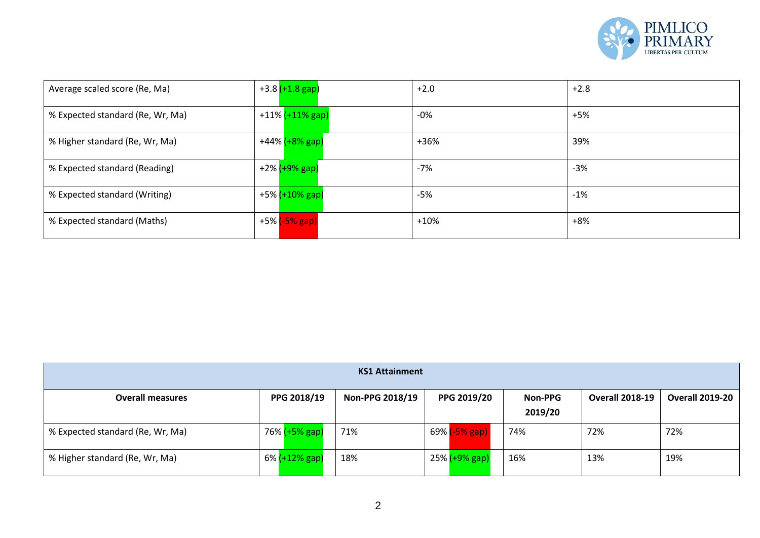

| Average scaled score (Re, Ma)    | +3.8 <mark>(+1.8 gap)</mark> | $+2.0$ | $+2.8$ |
|----------------------------------|------------------------------|--------|--------|
| % Expected standard (Re, Wr, Ma) | +11% (+11% gap)              | $-0%$  | $+5%$  |
| % Higher standard (Re, Wr, Ma)   | +44% (+8% gap)               | +36%   | 39%    |
| % Expected standard (Reading)    | +2% <mark>(+9% gap)</mark>   | $-7%$  | $-3%$  |
| % Expected standard (Writing)    | +5% <mark>(+10% gap)</mark>  | $-5%$  | $-1%$  |
| % Expected standard (Maths)      | +5% <mark>(-5% gap)</mark>   | $+10%$ | $+8%$  |

| <b>KS1 Attainment</b>            |               |                 |                            |                           |                        |                        |  |  |
|----------------------------------|---------------|-----------------|----------------------------|---------------------------|------------------------|------------------------|--|--|
| <b>Overall measures</b>          | PPG 2018/19   | Non-PPG 2018/19 | PPG 2019/20                | <b>Non-PPG</b><br>2019/20 | <b>Overall 2018-19</b> | <b>Overall 2019-20</b> |  |  |
| % Expected standard (Re, Wr, Ma) | 76% (+5% gap) | 71%             | 69% <mark>(-5% gap)</mark> | 74%                       | 72%                    | 72%                    |  |  |
| % Higher standard (Re, Wr, Ma)   | 6% (+12% gap) | 18%             | 25% <mark>(+9% gap)</mark> | 16%                       | 13%                    | 19%                    |  |  |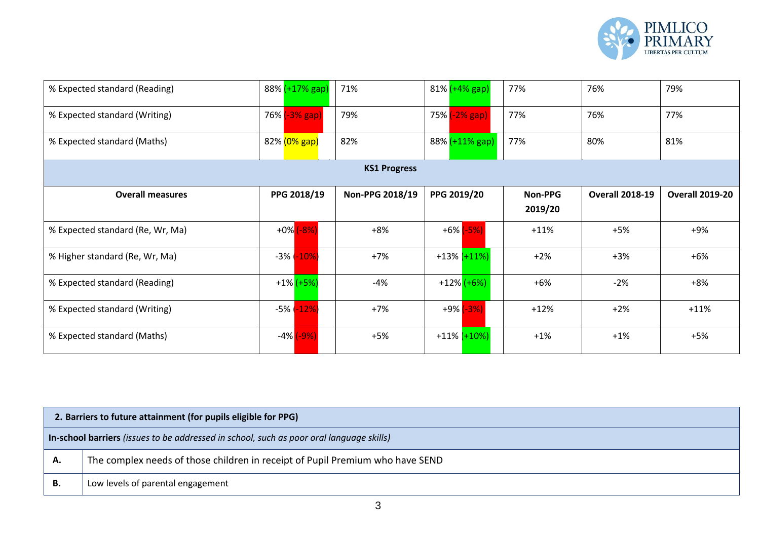

| % Expected standard (Reading)    |  | $88\%$ $(+17\%$ gap)       | 71%             | 81% (+4% gap) |                   | 77%            | 76%                    | 79%                    |  |
|----------------------------------|--|----------------------------|-----------------|---------------|-------------------|----------------|------------------------|------------------------|--|
| % Expected standard (Writing)    |  | 76% <mark>(-3% gap)</mark> | 79%             | 75% (-2% gap) |                   | 77%            | 76%                    | 77%                    |  |
| % Expected standard (Maths)      |  | 82% (0% gap)               | 82%             |               | 88% (+11% gap)    | 77%            | 80%                    | 81%                    |  |
| <b>KS1 Progress</b>              |  |                            |                 |               |                   |                |                        |                        |  |
| <b>Overall measures</b>          |  | PPG 2018/19                | Non-PPG 2018/19 | PPG 2019/20   |                   | <b>Non-PPG</b> | <b>Overall 2018-19</b> | <b>Overall 2019-20</b> |  |
|                                  |  |                            |                 |               |                   | 2019/20        |                        |                        |  |
| % Expected standard (Re, Wr, Ma) |  | $+0\%$ $(-8\%)$            | $+8%$           |               | $+6\%$ $(-5\%)$   | $+11%$         | $+5%$                  | +9%                    |  |
| % Higher standard (Re, Wr, Ma)   |  | $-3\%$ $-10\%$             | $+7%$           |               | $+13\%$ $(+11\%)$ | $+2%$          | $+3%$                  | $+6%$                  |  |
| % Expected standard (Reading)    |  | $+1\%$ $(+5\%)$            | -4%             |               | +12% (+6%)        | $+6%$          | $-2%$                  | $+8%$                  |  |
| % Expected standard (Writing)    |  | $-5\%$ $-12\%$             | $+7%$           |               | $+9\%$ $(-3\%)$   | $+12%$         | $+2%$                  | $+11%$                 |  |
| % Expected standard (Maths)      |  | $-4\%$ $(-9\%)$            | $+5%$           |               | $+11\%$ $(+10\%)$ | $+1%$          | $+1%$                  | $+5%$                  |  |

|    | 2. Barriers to future attainment (for pupils eligible for PPG)                           |  |  |  |  |  |
|----|------------------------------------------------------------------------------------------|--|--|--|--|--|
|    | In-school barriers (issues to be addressed in school, such as poor oral language skills) |  |  |  |  |  |
| А. | The complex needs of those children in receipt of Pupil Premium who have SEND            |  |  |  |  |  |
| В. | Low levels of parental engagement                                                        |  |  |  |  |  |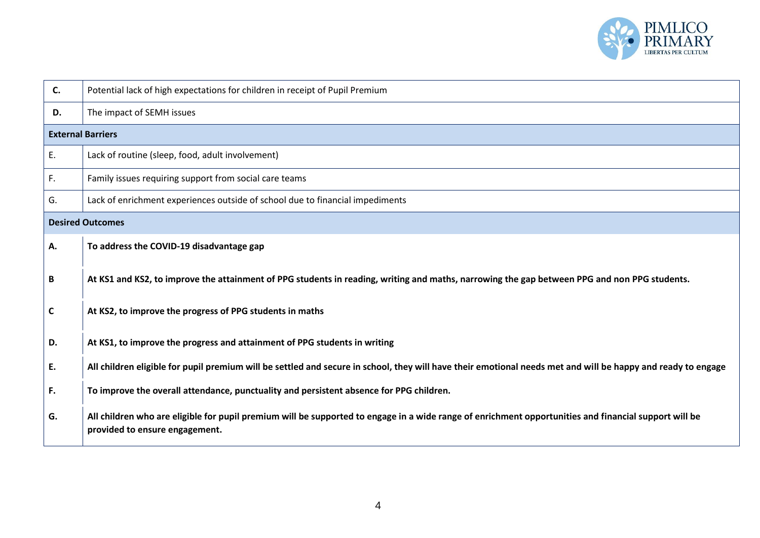

| C.           | Potential lack of high expectations for children in receipt of Pupil Premium                                                                                                            |
|--------------|-----------------------------------------------------------------------------------------------------------------------------------------------------------------------------------------|
| D.           | The impact of SEMH issues                                                                                                                                                               |
|              | <b>External Barriers</b>                                                                                                                                                                |
| E.           | Lack of routine (sleep, food, adult involvement)                                                                                                                                        |
| F.           | Family issues requiring support from social care teams                                                                                                                                  |
| G.           | Lack of enrichment experiences outside of school due to financial impediments                                                                                                           |
|              | <b>Desired Outcomes</b>                                                                                                                                                                 |
| Α.           | To address the COVID-19 disadvantage gap                                                                                                                                                |
| B            | At KS1 and KS2, to improve the attainment of PPG students in reading, writing and maths, narrowing the gap between PPG and non PPG students.                                            |
| $\mathsf{C}$ | At KS2, to improve the progress of PPG students in maths                                                                                                                                |
| D.           | At KS1, to improve the progress and attainment of PPG students in writing                                                                                                               |
| E.           | All children eligible for pupil premium will be settled and secure in school, they will have their emotional needs met and will be happy and ready to engage                            |
| F.           | To improve the overall attendance, punctuality and persistent absence for PPG children.                                                                                                 |
| G.           | All children who are eligible for pupil premium will be supported to engage in a wide range of enrichment opportunities and financial support will be<br>provided to ensure engagement. |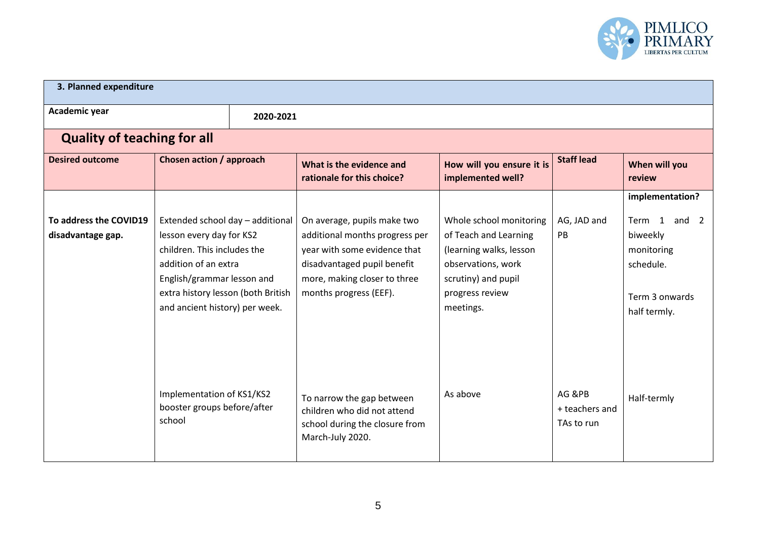

| 3. Planned expenditure                      |                                                                                                                                                                                                                           |           |                                                                                                                                                                                        |                                                                                                                                                          |                                        |                                                                                                               |
|---------------------------------------------|---------------------------------------------------------------------------------------------------------------------------------------------------------------------------------------------------------------------------|-----------|----------------------------------------------------------------------------------------------------------------------------------------------------------------------------------------|----------------------------------------------------------------------------------------------------------------------------------------------------------|----------------------------------------|---------------------------------------------------------------------------------------------------------------|
| Academic year                               |                                                                                                                                                                                                                           | 2020-2021 |                                                                                                                                                                                        |                                                                                                                                                          |                                        |                                                                                                               |
| <b>Quality of teaching for all</b>          |                                                                                                                                                                                                                           |           |                                                                                                                                                                                        |                                                                                                                                                          |                                        |                                                                                                               |
| <b>Desired outcome</b>                      | <b>Chosen action / approach</b>                                                                                                                                                                                           |           | What is the evidence and<br>rationale for this choice?                                                                                                                                 | How will you ensure it is<br>implemented well?                                                                                                           | <b>Staff lead</b>                      | When will you<br>review                                                                                       |
| To address the COVID19<br>disadvantage gap. | Extended school day - additional<br>lesson every day for KS2<br>children. This includes the<br>addition of an extra<br>English/grammar lesson and<br>extra history lesson (both British<br>and ancient history) per week. |           | On average, pupils make two<br>additional months progress per<br>year with some evidence that<br>disadvantaged pupil benefit<br>more, making closer to three<br>months progress (EEF). | Whole school monitoring<br>of Teach and Learning<br>(learning walks, lesson<br>observations, work<br>scrutiny) and pupil<br>progress review<br>meetings. | AG, JAD and<br>PB                      | implementation?<br>Term 1<br>and $2$<br>biweekly<br>monitoring<br>schedule.<br>Term 3 onwards<br>half termly. |
|                                             | Implementation of KS1/KS2<br>booster groups before/after<br>school                                                                                                                                                        |           | To narrow the gap between<br>children who did not attend<br>school during the closure from<br>March-July 2020.                                                                         | As above                                                                                                                                                 | AG &PB<br>+ teachers and<br>TAs to run | Half-termly                                                                                                   |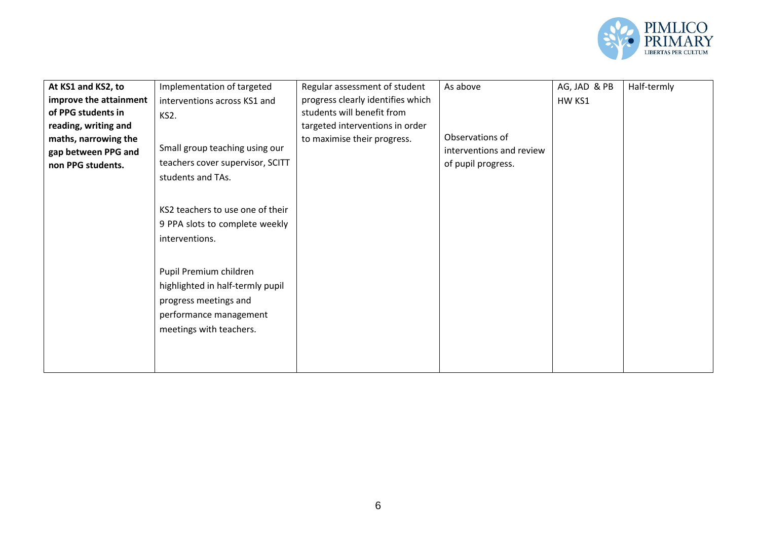

| At KS1 and KS2, to     | Implementation of targeted       | Regular assessment of student     | As above                 | AG, JAD & PB | Half-termly |
|------------------------|----------------------------------|-----------------------------------|--------------------------|--------------|-------------|
|                        |                                  |                                   |                          |              |             |
| improve the attainment | interventions across KS1 and     | progress clearly identifies which |                          | HW KS1       |             |
| of PPG students in     | KS2.                             | students will benefit from        |                          |              |             |
| reading, writing and   |                                  | targeted interventions in order   |                          |              |             |
| maths, narrowing the   |                                  | to maximise their progress.       | Observations of          |              |             |
| gap between PPG and    | Small group teaching using our   |                                   | interventions and review |              |             |
| non PPG students.      | teachers cover supervisor, SCITT |                                   | of pupil progress.       |              |             |
|                        | students and TAs.                |                                   |                          |              |             |
|                        |                                  |                                   |                          |              |             |
|                        |                                  |                                   |                          |              |             |
|                        | KS2 teachers to use one of their |                                   |                          |              |             |
|                        | 9 PPA slots to complete weekly   |                                   |                          |              |             |
|                        | interventions.                   |                                   |                          |              |             |
|                        |                                  |                                   |                          |              |             |
|                        |                                  |                                   |                          |              |             |
|                        | Pupil Premium children           |                                   |                          |              |             |
|                        | highlighted in half-termly pupil |                                   |                          |              |             |
|                        | progress meetings and            |                                   |                          |              |             |
|                        |                                  |                                   |                          |              |             |
|                        | performance management           |                                   |                          |              |             |
|                        | meetings with teachers.          |                                   |                          |              |             |
|                        |                                  |                                   |                          |              |             |
|                        |                                  |                                   |                          |              |             |
|                        |                                  |                                   |                          |              |             |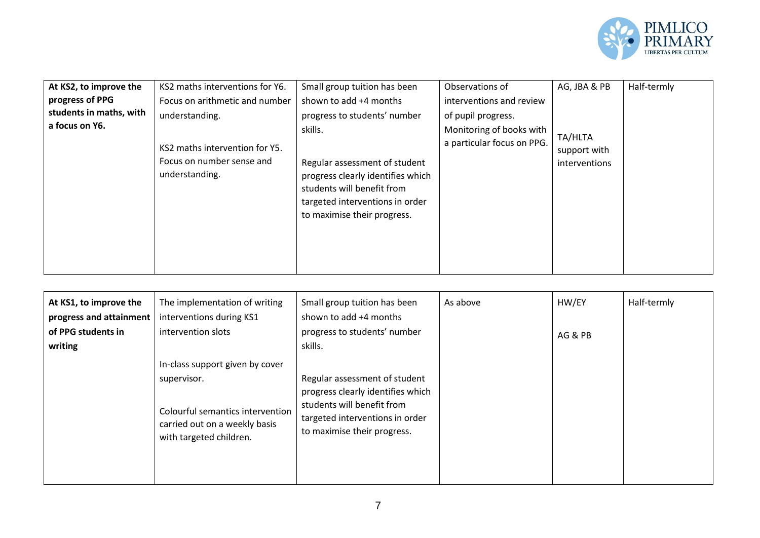

| At KS2, to improve the  | KS2 maths interventions for Y6.                                               | Small group tuition has been                                                                                                                                                  | Observations of                                        | AG, JBA & PB                             | Half-termly |
|-------------------------|-------------------------------------------------------------------------------|-------------------------------------------------------------------------------------------------------------------------------------------------------------------------------|--------------------------------------------------------|------------------------------------------|-------------|
| progress of PPG         | Focus on arithmetic and number                                                | shown to add +4 months                                                                                                                                                        | interventions and review                               |                                          |             |
| students in maths, with | understanding.                                                                | progress to students' number                                                                                                                                                  | of pupil progress.                                     |                                          |             |
| a focus on Y6.          | KS2 maths intervention for Y5.<br>Focus on number sense and<br>understanding. | skills.<br>Regular assessment of student<br>progress clearly identifies which<br>students will benefit from<br>targeted interventions in order<br>to maximise their progress. | Monitoring of books with<br>a particular focus on PPG. | TA/HLTA<br>support with<br>interventions |             |

| At KS1, to improve the<br>progress and attainment | The implementation of writing<br>interventions during KS1                                                   | Small group tuition has been<br>shown to add +4 months                                                                                                             | As above | HW/EY   | Half-termly |
|---------------------------------------------------|-------------------------------------------------------------------------------------------------------------|--------------------------------------------------------------------------------------------------------------------------------------------------------------------|----------|---------|-------------|
| of PPG students in<br>writing                     | intervention slots                                                                                          | progress to students' number<br>skills.                                                                                                                            |          | AG & PB |             |
|                                                   | In-class support given by cover                                                                             |                                                                                                                                                                    |          |         |             |
|                                                   | supervisor.<br>Colourful semantics intervention<br>carried out on a weekly basis<br>with targeted children. | Regular assessment of student<br>progress clearly identifies which<br>students will benefit from<br>targeted interventions in order<br>to maximise their progress. |          |         |             |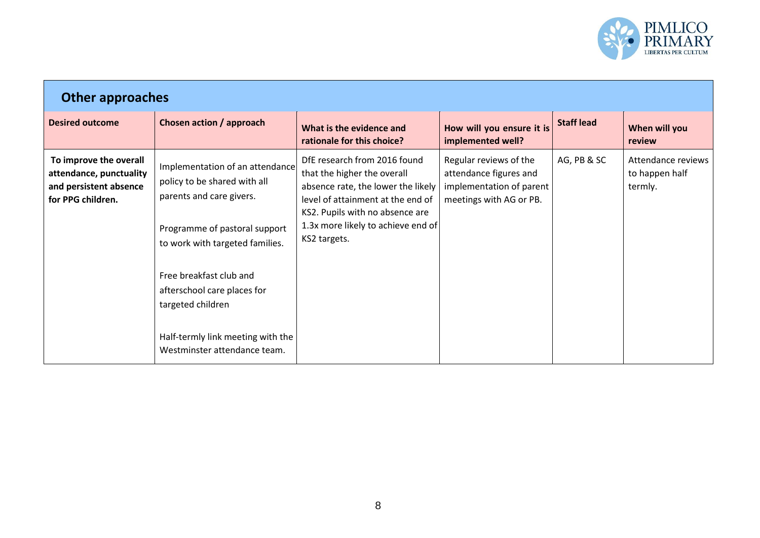

| <b>Other approaches</b>                                                                          |                                                                                                                                                                                                                                                                                                                     |                                                                                                                                                                                                                                 |                                                                                                         |                   |                                                 |  |  |  |  |
|--------------------------------------------------------------------------------------------------|---------------------------------------------------------------------------------------------------------------------------------------------------------------------------------------------------------------------------------------------------------------------------------------------------------------------|---------------------------------------------------------------------------------------------------------------------------------------------------------------------------------------------------------------------------------|---------------------------------------------------------------------------------------------------------|-------------------|-------------------------------------------------|--|--|--|--|
| <b>Desired outcome</b>                                                                           | Chosen action / approach                                                                                                                                                                                                                                                                                            | What is the evidence and<br>rationale for this choice?                                                                                                                                                                          | How will you ensure it is<br>implemented well?                                                          | <b>Staff lead</b> | When will you<br>review                         |  |  |  |  |
| To improve the overall<br>attendance, punctuality<br>and persistent absence<br>for PPG children. | Implementation of an attendance<br>policy to be shared with all<br>parents and care givers.<br>Programme of pastoral support<br>to work with targeted families.<br>Free breakfast club and<br>afterschool care places for<br>targeted children<br>Half-termly link meeting with the<br>Westminster attendance team. | DfE research from 2016 found<br>that the higher the overall<br>absence rate, the lower the likely<br>level of attainment at the end of<br>KS2. Pupils with no absence are<br>1.3x more likely to achieve end of<br>KS2 targets. | Regular reviews of the<br>attendance figures and<br>implementation of parent<br>meetings with AG or PB. | AG, PB & SC       | Attendance reviews<br>to happen half<br>termly. |  |  |  |  |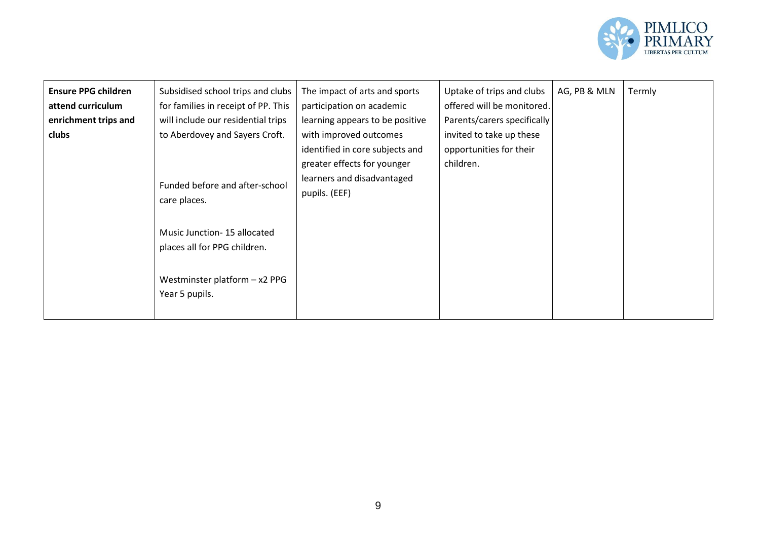

| Subsidised school trips and clubs<br>The impact of arts and sports<br>Uptake of trips and clubs<br>AG, PB & MLN<br><b>Ensure PPG children</b><br>for families in receipt of PP. This<br>offered will be monitored.<br>attend curriculum<br>participation on academic<br>will include our residential trips<br>Parents/carers specifically<br>enrichment trips and<br>learning appears to be positive<br>to Aberdovey and Sayers Croft.<br>invited to take up these<br>clubs<br>with improved outcomes<br>identified in core subjects and<br>opportunities for their<br>children.<br>greater effects for younger<br>learners and disadvantaged<br>Funded before and after-school<br>pupils. (EEF)<br>care places.<br>Music Junction-15 allocated<br>places all for PPG children.<br>Westminster platform - x2 PPG<br>Year 5 pupils. | Termly |
|------------------------------------------------------------------------------------------------------------------------------------------------------------------------------------------------------------------------------------------------------------------------------------------------------------------------------------------------------------------------------------------------------------------------------------------------------------------------------------------------------------------------------------------------------------------------------------------------------------------------------------------------------------------------------------------------------------------------------------------------------------------------------------------------------------------------------------|--------|
|------------------------------------------------------------------------------------------------------------------------------------------------------------------------------------------------------------------------------------------------------------------------------------------------------------------------------------------------------------------------------------------------------------------------------------------------------------------------------------------------------------------------------------------------------------------------------------------------------------------------------------------------------------------------------------------------------------------------------------------------------------------------------------------------------------------------------------|--------|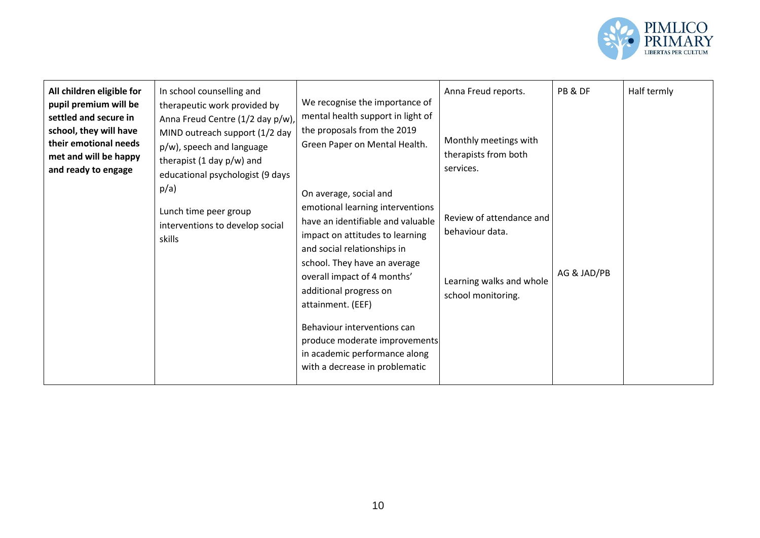

| All children eligible for<br>In school counselling and<br>pupil premium will be<br>therapeutic work provided by<br>settled and secure in<br>Anna Freud Centre (1/2 day p/w),<br>school, they will have<br>MIND outreach support (1/2 day<br>their emotional needs<br>p/w), speech and language<br>met and will be happy<br>therapist (1 day $p/w$ ) and<br>and ready to engage<br>educational psychologist (9 days<br>p/a)<br>Lunch time peer group<br>interventions to develop social<br>skills | We recognise the importance of<br>mental health support in light of<br>the proposals from the 2019<br>Green Paper on Mental Health.<br>On average, social and<br>emotional learning interventions<br>have an identifiable and valuable<br>impact on attitudes to learning<br>and social relationships in<br>school. They have an average<br>overall impact of 4 months'<br>additional progress on<br>attainment. (EEF)<br>Behaviour interventions can<br>produce moderate improvements<br>in academic performance along<br>with a decrease in problematic | Anna Freud reports.<br>Monthly meetings with<br>therapists from both<br>services.<br>Review of attendance and<br>behaviour data.<br>Learning walks and whole<br>school monitoring. | PB & DF<br>AG & JAD/PB | Half termly |
|--------------------------------------------------------------------------------------------------------------------------------------------------------------------------------------------------------------------------------------------------------------------------------------------------------------------------------------------------------------------------------------------------------------------------------------------------------------------------------------------------|-----------------------------------------------------------------------------------------------------------------------------------------------------------------------------------------------------------------------------------------------------------------------------------------------------------------------------------------------------------------------------------------------------------------------------------------------------------------------------------------------------------------------------------------------------------|------------------------------------------------------------------------------------------------------------------------------------------------------------------------------------|------------------------|-------------|
|--------------------------------------------------------------------------------------------------------------------------------------------------------------------------------------------------------------------------------------------------------------------------------------------------------------------------------------------------------------------------------------------------------------------------------------------------------------------------------------------------|-----------------------------------------------------------------------------------------------------------------------------------------------------------------------------------------------------------------------------------------------------------------------------------------------------------------------------------------------------------------------------------------------------------------------------------------------------------------------------------------------------------------------------------------------------------|------------------------------------------------------------------------------------------------------------------------------------------------------------------------------------|------------------------|-------------|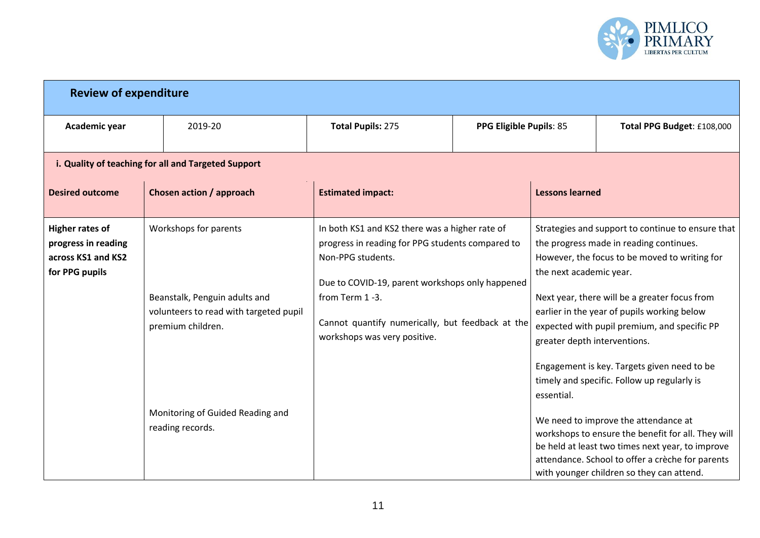

| <b>Review of expenditure</b>                                                          |                                                                                                                       |                                                                                                                                                                                                                                                                                  |                         |                                                         |                                                                                                                                                                                                                                                                                                                                                                                             |
|---------------------------------------------------------------------------------------|-----------------------------------------------------------------------------------------------------------------------|----------------------------------------------------------------------------------------------------------------------------------------------------------------------------------------------------------------------------------------------------------------------------------|-------------------------|---------------------------------------------------------|---------------------------------------------------------------------------------------------------------------------------------------------------------------------------------------------------------------------------------------------------------------------------------------------------------------------------------------------------------------------------------------------|
| Academic year                                                                         | 2019-20                                                                                                               | <b>Total Pupils: 275</b>                                                                                                                                                                                                                                                         | PPG Eligible Pupils: 85 |                                                         | Total PPG Budget: £108,000                                                                                                                                                                                                                                                                                                                                                                  |
|                                                                                       | i. Quality of teaching for all and Targeted Support                                                                   |                                                                                                                                                                                                                                                                                  |                         |                                                         |                                                                                                                                                                                                                                                                                                                                                                                             |
| <b>Desired outcome</b>                                                                | Chosen action / approach                                                                                              | <b>Estimated impact:</b>                                                                                                                                                                                                                                                         |                         | <b>Lessons learned</b>                                  |                                                                                                                                                                                                                                                                                                                                                                                             |
| <b>Higher rates of</b><br>progress in reading<br>across KS1 and KS2<br>for PPG pupils | Workshops for parents<br>Beanstalk, Penguin adults and<br>volunteers to read with targeted pupil<br>premium children. | In both KS1 and KS2 there was a higher rate of<br>progress in reading for PPG students compared to<br>Non-PPG students.<br>Due to COVID-19, parent workshops only happened<br>from Term 1-3.<br>Cannot quantify numerically, but feedback at the<br>workshops was very positive. |                         | the next academic year.<br>greater depth interventions. | Strategies and support to continue to ensure that<br>the progress made in reading continues.<br>However, the focus to be moved to writing for<br>Next year, there will be a greater focus from<br>earlier in the year of pupils working below<br>expected with pupil premium, and specific PP<br>Engagement is key. Targets given need to be<br>timely and specific. Follow up regularly is |
|                                                                                       | Monitoring of Guided Reading and<br>reading records.                                                                  |                                                                                                                                                                                                                                                                                  |                         | essential.                                              | We need to improve the attendance at<br>workshops to ensure the benefit for all. They will<br>be held at least two times next year, to improve<br>attendance. School to offer a crèche for parents<br>with younger children so they can attend.                                                                                                                                             |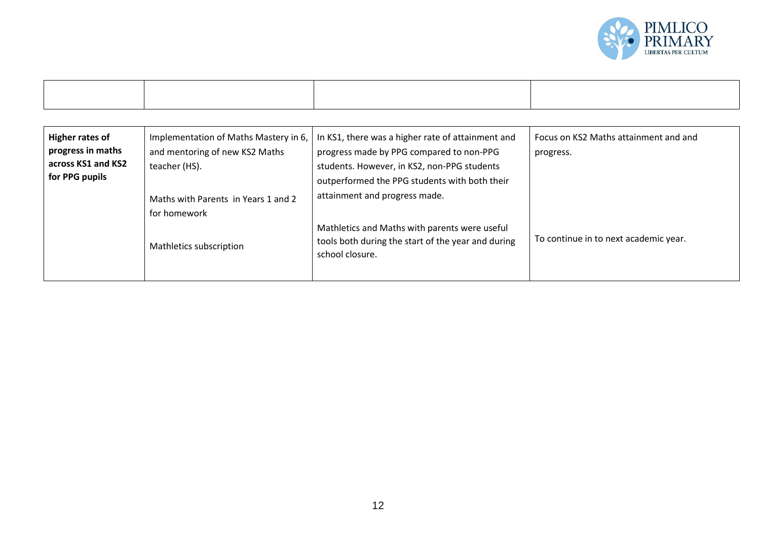

| Higher rates of<br>progress in maths<br>across KS1 and KS2<br>for PPG pupils | Implementation of Maths Mastery in 6,<br>and mentoring of new KS2 Maths<br>teacher (HS).<br>Maths with Parents in Years 1 and 2 | In KS1, there was a higher rate of attainment and<br>progress made by PPG compared to non-PPG<br>students. However, in KS2, non-PPG students<br>outperformed the PPG students with both their<br>attainment and progress made. | Focus on KS2 Maths attainment and and<br>progress. |
|------------------------------------------------------------------------------|---------------------------------------------------------------------------------------------------------------------------------|--------------------------------------------------------------------------------------------------------------------------------------------------------------------------------------------------------------------------------|----------------------------------------------------|
|                                                                              | for homework<br>Mathletics subscription                                                                                         | Mathletics and Maths with parents were useful<br>tools both during the start of the year and during<br>school closure.                                                                                                         | To continue in to next academic year.              |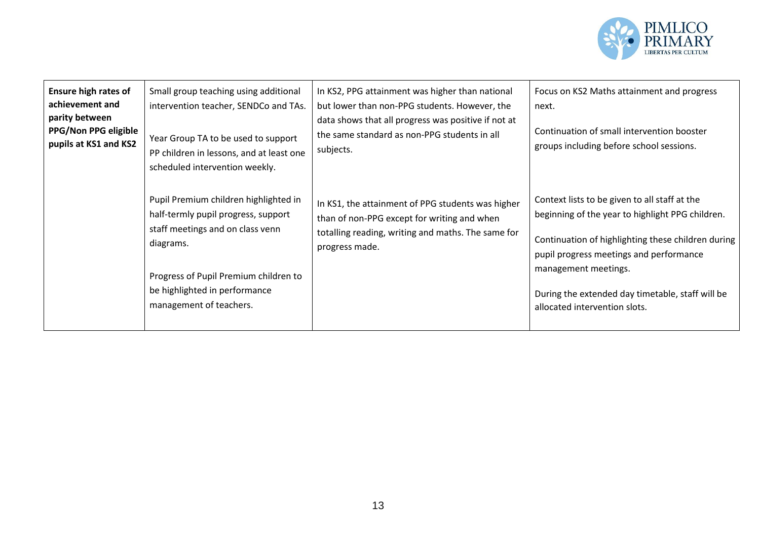

| <b>Ensure high rates of</b><br>achievement and<br>parity between<br>PPG/Non PPG eligible<br>pupils at KS1 and KS2 | Small group teaching using additional<br>intervention teacher, SENDCo and TAs.<br>Year Group TA to be used to support<br>PP children in lessons, and at least one<br>scheduled intervention weekly.                                | In KS2, PPG attainment was higher than national<br>but lower than non-PPG students. However, the<br>data shows that all progress was positive if not at<br>the same standard as non-PPG students in all<br>subjects. | Focus on KS2 Maths attainment and progress<br>next.<br>Continuation of small intervention booster<br>groups including before school sessions.                                                                                                                                                                   |
|-------------------------------------------------------------------------------------------------------------------|------------------------------------------------------------------------------------------------------------------------------------------------------------------------------------------------------------------------------------|----------------------------------------------------------------------------------------------------------------------------------------------------------------------------------------------------------------------|-----------------------------------------------------------------------------------------------------------------------------------------------------------------------------------------------------------------------------------------------------------------------------------------------------------------|
|                                                                                                                   | Pupil Premium children highlighted in<br>half-termly pupil progress, support<br>staff meetings and on class venn<br>diagrams.<br>Progress of Pupil Premium children to<br>be highlighted in performance<br>management of teachers. | In KS1, the attainment of PPG students was higher<br>than of non-PPG except for writing and when<br>totalling reading, writing and maths. The same for<br>progress made.                                             | Context lists to be given to all staff at the<br>beginning of the year to highlight PPG children.<br>Continuation of highlighting these children during<br>pupil progress meetings and performance<br>management meetings.<br>During the extended day timetable, staff will be<br>allocated intervention slots. |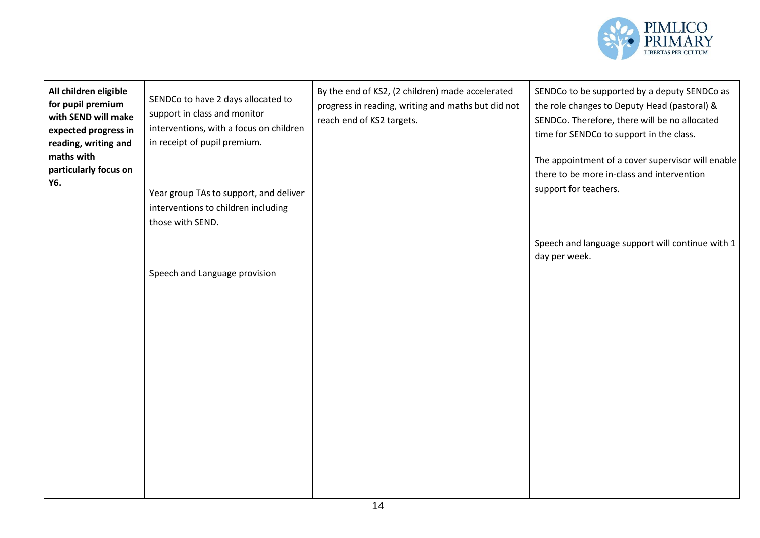

| All children eligible<br>for pupil premium<br>with SEND will make<br>expected progress in<br>reading, writing and<br>maths with<br>particularly focus on<br>Y6. | SENDCo to have 2 days allocated to<br>support in class and monitor<br>interventions, with a focus on children<br>in receipt of pupil premium.<br>Year group TAs to support, and deliver<br>interventions to children including<br>those with SEND. | By the end of KS2, (2 children) made accelerated<br>progress in reading, writing and maths but did not<br>reach end of KS2 targets. | SENDCo to be supported by a deputy SENDCo as<br>the role changes to Deputy Head (pastoral) &<br>SENDCo. Therefore, there will be no allocated<br>time for SENDCo to support in the class.<br>The appointment of a cover supervisor will enable<br>there to be more in-class and intervention<br>support for teachers. |
|-----------------------------------------------------------------------------------------------------------------------------------------------------------------|----------------------------------------------------------------------------------------------------------------------------------------------------------------------------------------------------------------------------------------------------|-------------------------------------------------------------------------------------------------------------------------------------|-----------------------------------------------------------------------------------------------------------------------------------------------------------------------------------------------------------------------------------------------------------------------------------------------------------------------|
|                                                                                                                                                                 | Speech and Language provision                                                                                                                                                                                                                      |                                                                                                                                     | Speech and language support will continue with 1<br>day per week.                                                                                                                                                                                                                                                     |
|                                                                                                                                                                 |                                                                                                                                                                                                                                                    |                                                                                                                                     |                                                                                                                                                                                                                                                                                                                       |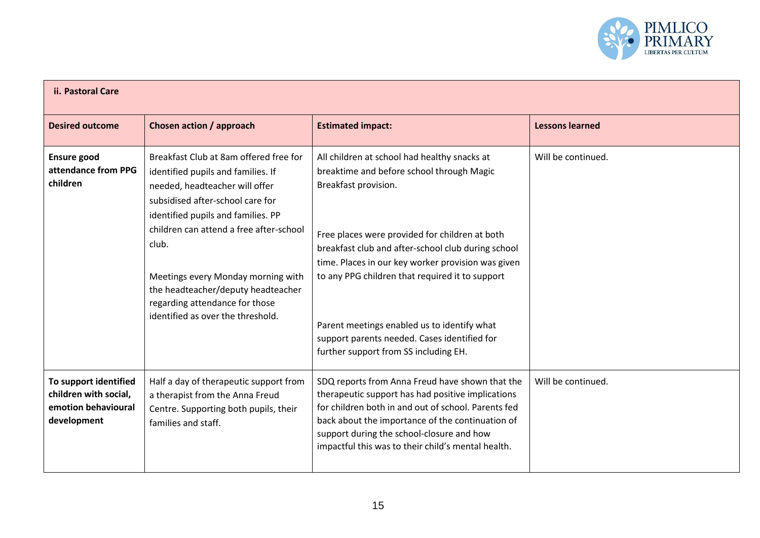

| ii. Pastoral Care                                                                    |                                                                                                                                                                                                                                                                                                                                                                                                 |                                                                                                                                                                                                                                                                                                                                                                                                                                                                            |                        |  |
|--------------------------------------------------------------------------------------|-------------------------------------------------------------------------------------------------------------------------------------------------------------------------------------------------------------------------------------------------------------------------------------------------------------------------------------------------------------------------------------------------|----------------------------------------------------------------------------------------------------------------------------------------------------------------------------------------------------------------------------------------------------------------------------------------------------------------------------------------------------------------------------------------------------------------------------------------------------------------------------|------------------------|--|
| <b>Desired outcome</b>                                                               | Chosen action / approach                                                                                                                                                                                                                                                                                                                                                                        | <b>Estimated impact:</b>                                                                                                                                                                                                                                                                                                                                                                                                                                                   | <b>Lessons learned</b> |  |
| <b>Ensure good</b><br>attendance from PPG<br>children                                | Breakfast Club at 8am offered free for<br>identified pupils and families. If<br>needed, headteacher will offer<br>subsidised after-school care for<br>identified pupils and families. PP<br>children can attend a free after-school<br>club.<br>Meetings every Monday morning with<br>the headteacher/deputy headteacher<br>regarding attendance for those<br>identified as over the threshold. | All children at school had healthy snacks at<br>breaktime and before school through Magic<br>Breakfast provision.<br>Free places were provided for children at both<br>breakfast club and after-school club during school<br>time. Places in our key worker provision was given<br>to any PPG children that required it to support<br>Parent meetings enabled us to identify what<br>support parents needed. Cases identified for<br>further support from SS including EH. | Will be continued.     |  |
| To support identified<br>children with social,<br>emotion behavioural<br>development | Half a day of therapeutic support from<br>a therapist from the Anna Freud<br>Centre. Supporting both pupils, their<br>families and staff.                                                                                                                                                                                                                                                       | SDQ reports from Anna Freud have shown that the<br>therapeutic support has had positive implications<br>for children both in and out of school. Parents fed<br>back about the importance of the continuation of<br>support during the school-closure and how<br>impactful this was to their child's mental health.                                                                                                                                                         | Will be continued.     |  |